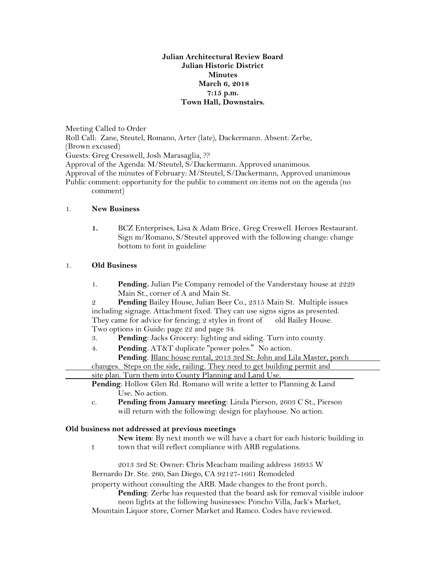## **Julian Architectural Review Board Julian Historic District Minutes March 6, 2018 7:15 p.m. Town Hall, Downstairs.**

Meeting Called to Order Roll Call: Zane, Steutel, Romano, Arter (late), Dackermann. Absent: Zerbe, (Brown excused) Guests: Greg Cresswell, Josh Marasaglia, ?? Approval of the Agenda: M/Steutel, S/Dackermann. Approved unanimous. Approval of the minutes of February: M/Steutel, S/Dackermann, Approved unanimous Public comment: opportunity for the public to comment on items not on the agenda (no comment)

## 1. **New Business**

**1.** BCZ Enterprises, Lisa & Adam Brice, Greg Creswell. Heroes Restaurant. Sign m/Romano, S/Steutel approved with the following change: change bottom to font in guideline

## 1. **Old Business**

1. **Pending.** Julian Pie Company remodel of the Vanderstaay house at 2229 Main St., corner of A and Main St.

2 **Pending** Bailey House, Julian Beer Co., 2315 Main St. Multiple issues including signage. Attachment fixed. They can use signs signs as presented. They came for advice for fencing; 2 styles in front of old Bailey House. Two options in Guide: page 22 and page 34.

- 3. **Pending**: Jacks Grocery: lighting and siding. Turn into county.
- 4. **Pending**. AT&T duplicate "power poles." No action. **Pending**. Blanc house rental, 2013 3rd St: John and Lila Master, porch changes. Steps on the side, railing. They need to get building permit and site plan. Turn them into County Planning and Land Use.

**Pending**: Hollow Glen Rd. Romano will write a letter to Planning & Land Use. No action.

c. **Pending from January meeting**: Linda Pierson, 2603 C St., Pierson will return with the following: design for playhouse. No action.

## **Old business not addressed at previous meetings**

**New item**: By next month we will have a chart for each historic building in

t town that will reflect compliance with ARB regulations.

2013 3rd St: Owner: Chris Meacham mailing address 16935 W Bernardo Dr. Ste. 260, San Diego, CA 92127-1661 Remodeled

property without consulting the ARB. Made changes to the front porch.

**Pending**: Zerbe has requested that the board ask for removal visible indoor

neon lights at the following businesses: Poncho Villa, Jack's Market,

Mountain Liquor store, Corner Market and Ramco. Codes have reviewed.